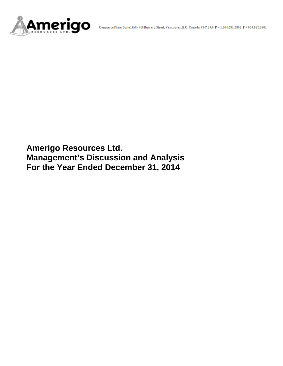

**Amerigo Resources Ltd. Management's Discussion and Analysis For the Year Ended December 31, 2014** 

**\_\_\_\_\_\_\_\_\_\_\_\_\_\_\_\_\_\_\_\_\_\_\_\_\_\_\_\_\_\_\_\_\_\_\_\_\_\_\_\_\_\_\_\_\_\_\_\_\_\_\_\_\_\_\_\_\_\_\_\_\_\_\_\_\_\_\_\_\_\_\_\_\_\_\_\_\_\_\_\_\_\_\_\_**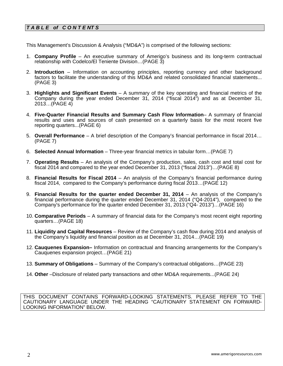### *T A B L E of C O N T E NT S*

This Management's Discussion & Analysis ("MD&A") is comprised of the following sections:

- 1. **Company Profile**  An executive summary of Amerigo's business and its long-term contractual relationship with Codelco/El Teniente Division…(PAGE 3)
- 2. **Introduction**  Information on accounting principles, reporting currency and other background factors to facilitate the understanding of this MD&A and related consolidated financial statements... (PAGE 3)
- 3. **Highlights and Significant Events** A summary of the key operating and financial metrics of the Company during the year ended December 31, 2014 ("fiscal 2014") and as at December 31, 2013…(PAGE 4)
- 4. **Five-Quarter Financial Results and Summary Cash Flow Information** A summary of financial results and uses and sources of cash presented on a quarterly basis for the most recent five reporting quarters...(PAGE 6)
- 5. **Overall Performance** A brief description of the Company's financial performance in fiscal 2014… (PAGE 7)
- 6. **Selected Annual Information** Three-year financial metrics in tabular form…(PAGE 7)
- 7. **Operating Results** An analysis of the Company's production, sales, cash cost and total cost for fiscal 2014 and compared to the year ended December 31, 2013 ("fiscal 2013")…(PAGE 8)
- 8. **Financial Results for Fiscal 2014** An analysis of the Company's financial performance during fiscal 2014, compared to the Company's performance during fiscal 2013…(PAGE 12)
- 9. **Financial Results for the quarter ended December 31, 2014** An analysis of the Company's financial performance during the quarter ended December 31, 2014 ("Q4-2014"), compared to the Company's performance for the quarter ended December 31, 2013 ("Q4- 2013")…(PAGE 16)
- 10. **Comparative Periods** A summary of financial data for the Company's most recent eight reporting quarters…(PAGE 18)
- 11. **Liquidity and Capital Resources** Review of the Company's cash flow during 2014 and analysis of the Company's liquidity and financial position as at December 31, 2014…(PAGE 19)
- 12. **Cauquenes Expansion–** Information on contractual and financing arrangements for the Company's Cauquenes expansion project…(PAGE 21)
- 13. **Summary of Obligations**  Summary of the Company's contractual obligations…(PAGE 23)
- 14. **Other** –Disclosure of related party transactions and other MD&A requirements...(PAGE 24)

THIS DOCUMENT CONTAINS FORWARD-LOOKING STATEMENTS. PLEASE REFER TO THE CAUTIONARY LANGUAGE UNDER THE HEADING "CAUTIONARY STATEMENT ON FORWARD-LOOKING INFORMATION" BELOW.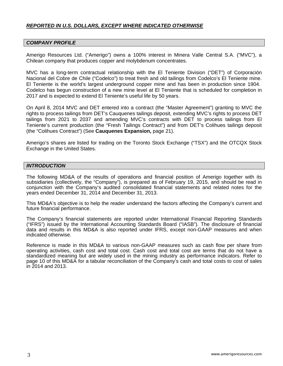# *REPORTED IN U.S. DOLLARS, EXCEPT WHERE INDICATED OTHERWISE*

#### *COMPANY PROFILE*

Amerigo Resources Ltd. ("Amerigo") owns a 100% interest in Minera Valle Central S.A. ("MVC"), a Chilean company that produces copper and molybdenum concentrates.

MVC has a long-term contractual relationship with the El Teniente Division ("DET") of Corporación Nacional del Cobre de Chile ("Codelco") to treat fresh and old tailings from Codelco's El Teniente mine. El Teniente is the world's largest underground copper mine and has been in production since 1904. Codelco has begun construction of a new mine level at El Teniente that is scheduled for completion in 2017 and is expected to extend El Teniente's useful life by 50 years.

On April 8, 2014 MVC and DET entered into a contract (the "Master Agreement") granting to MVC the rights to process tailings from DET's Cauquenes tailings deposit, extending MVC's rights to process DET tailings from 2021 to 2037 and amending MVC's contracts with DET to process tailings from El Teniente's current production (the "Fresh Tailings Contract") and from DET's Colihues tailings deposit (the "Colihues Contract") (See **Cauquenes Expansion,** page 21).

Amerigo's shares are listed for trading on the Toronto Stock Exchange ("TSX") and the OTCQX Stock Exchange in the United States.

#### *INTRODUCTION*

The following MD&A of the results of operations and financial position of Amerigo together with its subsidiaries (collectively, the "Company"), is prepared as of February 19, 2015, and should be read in conjunction with the Company's audited consolidated financial statements and related notes for the years ended December 31, 2014 and December 31, 2013.

This MD&A's objective is to help the reader understand the factors affecting the Company's current and future financial performance.

The Company's financial statements are reported under International Financial Reporting Standards ("IFRS") issued by the International Accounting Standards Board ("IASB"). The disclosure of financial data and results in this MD&A is also reported under IFRS, except non-GAAP measures and when indicated otherwise.

Reference is made in this MD&A to various non-GAAP measures such as cash flow per share from operating activities, cash cost and total cost. Cash cost and total cost are terms that do not have a standardized meaning but are widely used in the mining industry as performance indicators. Refer to page 10 of this MD&A for a tabular reconciliation of the Company's cash and total costs to cost of sales in 2014 and 2013.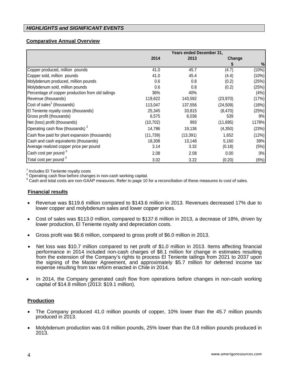# *HIGHLIGHTS and SIGNIFICANT EVENTS*

# **Comparative Annual Overview**

|                                                   | Years ended December 31, |           |           |       |
|---------------------------------------------------|--------------------------|-----------|-----------|-------|
|                                                   | 2014                     | 2013      | Change    |       |
|                                                   |                          |           |           | %     |
| Copper produced, million pounds                   | 41.0                     | 45.7      | (4.7)     | (10%) |
| Copper sold, million pounds                       | 41.0                     | 45.4      | (4.4)     | (10%) |
| Molybdenum produced, million pounds               | 0.6                      | 0.8       | (0.2)     | (25%) |
| Molybdenum sold, million pounds                   | 0.6                      | 0.8       | (0.2)     | (25%) |
| Percentage of copper production from old tailings | 36%                      | 40%       |           | (4% ) |
| Revenue (thousands)                               | 119,622                  | 143,592   | (23, 970) | (17%) |
| Cost of sales <sup>1</sup> (thousands)            | 113,047                  | 137,556   | (24, 509) | (18%) |
| El Teniente royalty costs (thousands)             | 25,345                   | 33,815    | (8,470)   | (25%) |
| Gross profit (thousands)                          | 6,575                    | 6,036     | 539       | 9%    |
| Net (loss) profit (thousands)                     | (10, 702)                | 993       | (11, 695) | 1178% |
| Operating cash flow (thousands) $2^2$             | 14,786                   | 19,136    | (4, 350)  | (23%) |
| Cash flow paid for plant expansion (thousands)    | (11, 739)                | (13, 391) | 1,652     | (12%) |
| Cash and cash equivalents (thousands)             | 18,308                   | 13,148    | 5,160     | 39%   |
| Average realized copper price per pound           | 3.14                     | 3.32      | (0.18)    | (5%)  |
| Cash cost per pound <sup>3</sup>                  | 2.08                     | 2.08      | 0.00      | 0%    |
| Total cost per pound 3                            | 3.02                     | 3.22      | (0.20)    | (6%)  |

<sup>1</sup> Includes El Teniente royalty costs

 $^2$  Operating cash flow before changes in non-cash working capital.<br>3 Cash and tatal costs are non CAAB measures. Befor to page 10.1

 $3$  Cash and total costs are non-GAAP measures. Refer to page 10 for a reconciliation of these measures to cost of sales.

# **Financial results**

- Revenue was \$119.6 million compared to \$143.6 million in 2013. Revenues decreased 17% due to lower copper and molybdenum sales and lower copper prices.
- Cost of sales was \$113.0 million, compared to \$137.6 million in 2013, a decrease of 18%, driven by lower production, El Teniente royalty and depreciation costs.
- Gross profit was \$6.6 million, compared to gross profit of \$6.0 million in 2013.
- Net loss was \$10.7 million compared to net profit of \$1.0 million in 2013. Items affecting financial performance in 2014 included non-cash charges of \$8.1 million for change in estimates resulting from the extension of the Company's rights to process El Teniente tailings from 2021 to 2037 upon the signing of the Master Agreement, and approximately \$5.7 million for deferred income tax expense resulting from tax reform enacted in Chile in 2014.
- In 2014, the Company generated cash flow from operations before changes in non-cash working capital of \$14.8 million (2013: \$19.1 million).

#### **Production**

- The Company produced 41.0 million pounds of copper, 10% lower than the 45.7 million pounds produced in 2013.
- Molybdenum production was 0.6 million pounds, 25% lower than the 0.8 million pounds produced in 2013.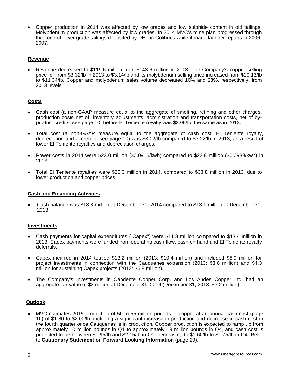Copper production in 2014 was affected by low grades and low sulphide content in old tailings. Molybdenum production was affected by low grades. In 2014 MVC's mine plan progressed through the zone of lower grade tailings deposited by DET in Colihues while it made launder repairs in 2006- 2007.

### **Revenue**

 Revenue decreased to \$119.6 million from \$143.6 million in 2013. The Company's copper selling price fell from \$3.32/lb in 2013 to \$3.14/lb and its molybdenum selling price increased from \$10.13/lb to \$11.34/lb. Copper and molybdenum sales volume decreased 10% and 28%, respectively, from 2013 levels.

### **Costs**

- Cash cost (a non-GAAP measure equal to the aggregate of smelting, refining and other charges, production costs net of inventory adjustments, administration and transportation costs, net of byproduct credits, see page 10) before El Teniente royalty was \$2.08/lb, the same as in 2013.
- Total cost (a non-GAAP measure equal to the aggregate of cash cost, El Teniente royalty, depreciation and accretion, see page 10) was \$3.02/lb compared to \$3.22/lb in 2013, as a result of lower El Teniente royalties and depreciation charges.
- Power costs in 2014 were \$23.0 million (\$0.0916/kwh) compared to \$23.8 million (\$0.0939/kwh) in 2013.
- Total El Teniente royalties were \$25.3 million in 2014, compared to \$33.8 million in 2013, due to lower production and copper prices.

#### **Cash and Financing Activities**

 Cash balance was \$18.3 million at December 31, 2014 compared to \$13.1 million at December 31, 2013.

#### **Investments**

- Cash payments for capital expenditures ("Capex") were \$11.8 million compared to \$13.4 million in 2013. Capex payments were funded from operating cash flow, cash on hand and El Teniente royalty deferrals.
- Capex incurred in 2014 totaled \$13.2 million (2013: \$10.4 million) and included \$8.9 million for project investments in connection with the Cauquenes expansion (2013: \$3.6 million) and \$4.3 million for sustaining Capex projects (2013: \$6.8 million).
- The Company's investments in Candente Copper Corp. and Los Andes Copper Ltd. had an aggregate fair value of \$2 million at December 31, 2014 (December 31, 2013: \$3.2 million).

#### **Outlook**

 MVC estimates 2015 production of 50 to 55 million pounds of copper at an annual cash cost (page 10) of \$1.80 to \$2.00/lb, including a significant increase in production and decrease in cash cost in the fourth quarter once Cauquenes is in production. Copper production is expected to ramp up from approximately 10 million pounds in Q1 to approximately 19 million pounds in Q4, and cash cost is projected to be between \$1.95/lb and \$2.15/lb in Q1, decreasing to \$1.60/lb to \$1.75/lb in Q4. Refer to **Cautionary Statement on Forward Looking Information** (page 29).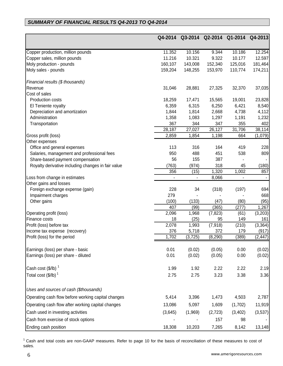# *SUMMARY OF FINANCIAL RESULTS Q4-2013 TO Q4-2014*

|                                                    | Q4-2014      |               | Q3-2014 Q2-2014 | Q1-2014     | Q4-2013      |
|----------------------------------------------------|--------------|---------------|-----------------|-------------|--------------|
|                                                    |              |               |                 |             |              |
| Copper production, million pounds                  | 11.352       | 10.156        | 9.344           | 10.186      | 12.254       |
| Copper sales, million pounds                       | 11.216       | 10.321        | 9.322           | 10.177      | 12.597       |
| Moly production - pounds                           | 160,107      | 143,008       | 152,340         | 125,016     | 181,464      |
| Moly sales - pounds                                | 159,204      | 148,255       | 153,970         | 110,774     | 174,211      |
| Financial results (\$ thousands)                   |              |               |                 |             |              |
| Revenue                                            | 31,046       | 28,881        | 27,325          | 32,370      | 37,035       |
| Cost of sales                                      |              |               |                 |             |              |
| <b>Production costs</b>                            | 18,259       | 17,471        | 15,565          | 19,001      | 23,828       |
| El Teniente royalty                                | 6,359        | 6,315         | 6,250           | 6,421       | 8,540        |
| Depreciation and amortization                      | 1,844        | 1,814         | 2,668           | 4,738       | 4,112        |
| Administration                                     | 1,358        | 1,083         | 1,297           | 1,191       | 1,232        |
| Transportation                                     | 367          | 344           | 347             | 355         | 402          |
|                                                    | 28,187       | 27,027        | 26,127          | 31,706      | 38,114       |
| Gross profit (loss)                                | 2,859        | 1,854         | 1,198           | 664         | (1,079)      |
| Other expenses                                     |              |               |                 |             |              |
| Office and general expenses                        | 113          | 316<br>488    | 164             | 419         | 228          |
| Salaries, management and professional fees         | 950<br>56    | 155           | 451<br>387      | 538         | 809          |
| Share-based payment compensation                   |              |               |                 |             |              |
| Royalty derivative including changes in fair value | (763)<br>356 | (974)<br>(15) | 318<br>1,320    | 45<br>1,002 | (180)<br>857 |
| Loss from change in estimates                      |              | $\frac{1}{2}$ | 8,066           |             |              |
| Other gains and losses                             |              |               |                 |             |              |
| Foreign exchange expense (gain)                    | 228          | 34            | (318)           | (197)       | 694          |
| Impairment charges                                 | 279          |               |                 |             | 668          |
| Other gains                                        | (100)        | (133)         | (47)            | (80)        | (95)         |
|                                                    | 407          | (99)          | (365)           | (277)       | 1,267        |
| Operating profit (loss)                            | 2,096        | 1,968         | (7, 823)        | (61)        | (3,203)      |
| Finance costs                                      | 18           | (25)          | 95              | 149         | 161          |
| Profit (loss) before tax                           | 2,078        | 1,993         | (7,918)         | (210)       | (3, 364)     |
| Income tax expense (recovery)                      | 376          | 5,718         | 372             | 179         | (917)        |
| Profit (loss) for the period                       | 1,702        | (3, 725)      | (8, 290)        | (389)       | (2, 447)     |
|                                                    |              |               |                 |             |              |
| Earnings (loss) per share - basic                  | 0.01         | (0.02)        | (0.05)          | 0.00        | (0.02)       |
| Earnings (loss) per share - diluted                | 0.01         | (0.02)        | (0.05)          | 0.00        | (0.02)       |
| Cash cost $(\frac{6}{lb})^1$                       | 1.99         | 1.92          | 2.22            | 2.22        | 2.19         |
| Total cost $(\frac{6}{10})^1$                      | 2.75         | 2.75          | 3.23            | 3.38        | 3.36         |
|                                                    |              |               |                 |             |              |
| Uses and sources of cash (\$thousands)             |              |               |                 |             |              |
| Operating cash flow before working capital changes | 5,414        | 3,396         | 1,473           | 4,503       | 2,787        |
| Operating cash flow after working capital changes  | 13,086       | 5,097         | 1,609           | (1,702)     | 11,919       |
| Cash used in investing activities                  | (3,645)      | (1,969)       | (2,723)         | (3, 402)    | (3,537)      |
| Cash from exercise of stock options                |              |               | 157             | 98          |              |
| Ending cash position                               | 18,308       | 10,203        | 7,265           | 8,142       | 13,148       |

 $1$  Cash and total costs are non-GAAP measures. Refer to page 10 for the basis of reconciliation of these measures to cost of sales.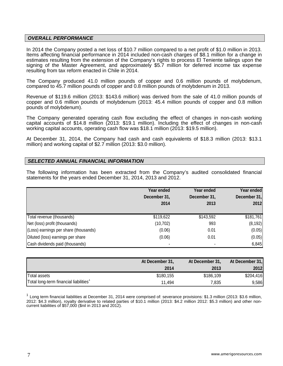### *OVERALL PERFORMANCE*

In 2014 the Company posted a net loss of \$10.7 million compared to a net profit of \$1.0 million in 2013. Items affecting financial performance in 2014 included non-cash charges of \$8.1 million for a change in estimates resulting from the extension of the Company's rights to process El Teniente tailings upon the signing of the Master Agreement, and approximately \$5.7 million for deferred income tax expense resulting from tax reform enacted in Chile in 2014.

The Company produced 41.0 million pounds of copper and 0.6 million pounds of molybdenum, compared to 45.7 million pounds of copper and 0.8 million pounds of molybdenum in 2013.

Revenue of \$119.6 million (2013: \$143.6 million) was derived from the sale of 41.0 million pounds of copper and 0.6 million pounds of molybdenum (2013: 45.4 million pounds of copper and 0.8 million pounds of molybdenum).

The Company generated operating cash flow excluding the effect of changes in non-cash working capital accounts of \$14.8 million (2013: \$19.1 million). Including the effect of changes in non-cash working capital accounts, operating cash flow was \$18.1 million (2013: \$19.5 million).

At December 31, 2014, the Company had cash and cash equivalents of \$18.3 million (2013: \$13.1 million) and working capital of \$2.7 million (2013: \$3.0 million).

### *SELECTED ANNUAL FINANCIAL INFORMATION*

The following information has been extracted from the Company's audited consolidated financial statements for the years ended December 31, 2014, 2013 and 2012.

|                                       | Year ended   | Year ended   | Year ended   |
|---------------------------------------|--------------|--------------|--------------|
|                                       | December 31, | December 31, | December 31, |
|                                       | 2014         | 2013         | 2012         |
| Total revenue (thousands)             | \$119,622    | \$143,592    | \$181,761    |
| Net (loss) profit (thousands)         | (10, 702)    | 993          | (8, 192)     |
| (Loss) earnings per share (thousands) | (0.06)       | 0.01         | (0.05)       |
| Diluted (loss) earnings per share     | (0.06)       | 0.01         | (0.05)       |
| Cash dividends paid (thousands)       |              |              | 6,845        |

|                                       | At December 31, | At December 31, | At December 31, |
|---------------------------------------|-----------------|-----------------|-----------------|
|                                       | 2014            | 2013            | 2012            |
| Total assets                          | \$180,155       | \$186,109       | \$204,416       |
| Total long-term financial liabilities | 11.494          | 7,835           | 9,586           |

<sup>1</sup> Long term financial liabilities at December 31, 2014 were comprised of: severance provisions: \$1.3 million (2013: \$3.6 million, 2012: \$4.3 million), royalty derivative to related parties of \$10.1 million (2013: \$4.2 million 2012: \$5.3 million) and other noncurrent liabilities of \$57,000 (\$nil in 2013 and 2012).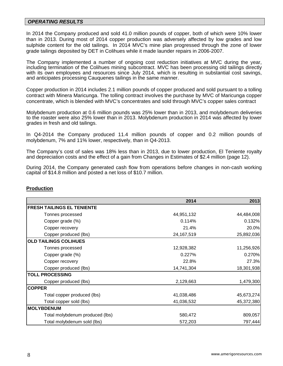### *OPERATING RESULTS*

In 2014 the Company produced and sold 41.0 million pounds of copper, both of which were 10% lower than in 2013. During most of 2014 copper production was adversely affected by low grades and low sulphide content for the old tailings. In 2014 MVC's mine plan progressed through the zone of lower grade tailings deposited by DET in Colihues while it made launder repairs in 2006-2007.

The Company implemented a number of ongoing cost reduction initiatives at MVC during the year, including termination of the Colihues mining subcontract. MVC has been processing old tailings directly with its own employees and resources since July 2014, which is resulting in substantial cost savings, and anticipates processing Cauquenes tailings in the same manner.

Copper production in 2014 includes 2.1 million pounds of copper produced and sold pursuant to a tolling contract with Minera Maricunga. The tolling contract involves the purchase by MVC of Maricunga copper concentrate, which is blended with MVC's concentrates and sold through MVC's copper sales contract

Molybdenum production at 0.6 million pounds was 25% lower than in 2013, and molybdenum deliveries to the roaster were also 25% lower than in 2013. Molybdenum production in 2014 was affected by lower grades in fresh and old tailings.

In Q4-2014 the Company produced 11.4 million pounds of copper and 0.2 million pounds of molybdenum, 7% and 11% lower, respectively, than in Q4-2013.

The Company's cost of sales was 18% less than in 2013, due to lower production, El Teniente royalty and depreciation costs and the effect of a gain from Changes in Estimates of \$2.4 million (page 12).

During 2014, the Company generated cash flow from operations before changes in non-cash working capital of \$14.8 million and posted a net loss of \$10.7 million.

|                                   | 2014       | 2013       |
|-----------------------------------|------------|------------|
| <b>FRESH TAILINGS EL TENIENTE</b> |            |            |
| Tonnes processed                  | 44,951,132 | 44,484,008 |
| Copper grade (%)                  | 0.114%     | 0.132%     |
| Copper recovery                   | 21.4%      | 20.0%      |
| Copper produced (lbs)             | 24,167,519 | 25,892,036 |
| <b>OLD TAILINGS COLIHUES</b>      |            |            |
| Tonnes processed                  | 12,928,382 | 11,256,926 |
| Copper grade (%)                  | 0.227%     | 0.270%     |
| Copper recovery                   | 22.8%      | 27.3%      |
| Copper produced (lbs)             | 14,741,304 | 18,301,938 |
| <b>TOLL PROCESSING</b>            |            |            |
| Copper produced (lbs)             | 2,129,663  | 1,479,300  |
| <b>COPPER</b>                     |            |            |
| Total copper produced (lbs)       | 41,038,486 | 45,673,274 |
| Total copper sold (lbs)           | 41,036,532 | 45,372,380 |
| <b>MOLYBDENUM</b>                 |            |            |
| Total molybdenum produced (lbs)   | 580,472    | 809,057    |
| Total molybdenum sold (lbs)       | 572,203    | 797,444    |

#### **Production**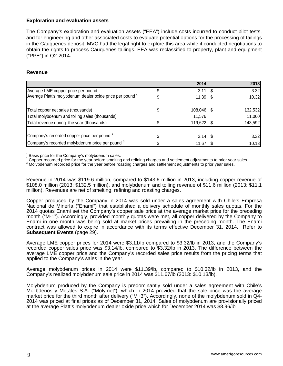# **Exploration and evaluation assets**

The Company's exploration and evaluation assets ("EEA") include costs incurred to conduct pilot tests, and for engineering and other associated costs to evaluate potential options for the processing of tailings in the Cauquenes deposit. MVC had the legal right to explore this area while it conducted negotiations to obtain the rights to process Cauquenes tailings. EEA was reclassified to property, plant and equipment ("PPE") in Q2-2014*.* 

# **Revenue**

|                                                           | 2014       | 2013       |
|-----------------------------------------------------------|------------|------------|
| Average LME copper price per pound                        | 3.11       | \$<br>3.32 |
| Average Platt's molybdenum dealer oxide price per pound 1 | $11.39$ \$ | 10.32      |
| Total copper net sales (thousands)                        | 108,046 \$ | 132,532    |
| Total molybdenum and tolling sales (thousands)            | 11,576     | 11,060     |
| Total revenue during the year (thousands)                 | 119,622 \$ | 143,592    |
| Company's recorded copper price per pound <sup>2</sup>    | $3.14$ \$  | 3.32       |
| Company's recorded molybdenum price per pound 3           | 11.67      | 10.13      |

 $1$  Basis price for the Company's molybdenum sales.

 $^2$  Copper recorded price for the year before smelting and refining charges and settlement adjustments to prior year sales.<br>3 Molybdenum recorded price for the year before roasting charges and settlement adjustments to p

Revenue in 2014 was \$119.6 million, compared to \$143.6 million in 2013, including copper revenue of \$108.0 million (2013: \$132.5 million), and molybdenum and tolling revenue of \$11.6 million (2013: \$11.1 million). Revenues are net of smelting, refining and roasting charges.

Copper produced by the Company in 2014 was sold under a sales agreement with Chile's Empresa Nacional de Minería ("Enami") that established a delivery schedule of monthly sales quotas. For the 2014 quotas Enami set the Company's copper sale price at the average market price for the preceding month ("M-1"). Accordingly, provided monthly quotas were met, all copper delivered by the Company to Enami in one month was being sold at market prices prevailing in the preceding month. The Enami contract was allowed to expire in accordance with its terms effective December 31, 2014. Refer to **Subsequent Events** (page 29).

Average LME copper prices for 2014 were \$3.11/lb compared to \$3.32/lb in 2013, and the Company's recorded copper sales price was \$3.14/lb, compared to \$3.32/lb in 2013. The difference between the average LME copper price and the Company's recorded sales price results from the pricing terms that applied to the Company's sales in the year.

Average molybdenum prices in 2014 were \$11.39/lb, compared to \$10.32/lb in 2013, and the Company's realized molybdenum sale price in 2014 was \$11.67/lb (2013: \$10.13/lb).

Molybdenum produced by the Company is predominantly sold under a sales agreement with Chile's Molibdenos y Metales S.A. ("Molymet"), which in 2014 provided that the sale price was the average market price for the third month after delivery ("M+3"). Accordingly, none of the molybdenum sold in Q4- 2014 was priced at final prices as of December 31, 2014. Sales of molybdenum are provisionally priced at the average Platt's molybdenum dealer oxide price which for December 2014 was \$8.96/lb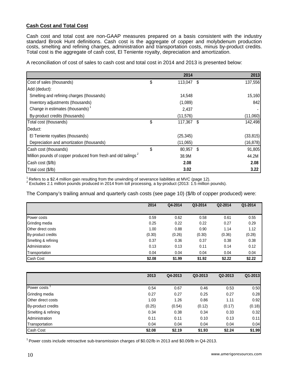# **Cash Cost and Total Cost**

Cash cost and total cost are non-GAAP measures prepared on a basis consistent with the industry standard Brook Hunt definitions. Cash cost is the aggregate of copper and molybdenum production costs, smelting and refining charges, administration and transportation costs, minus by-product credits. Total cost is the aggregate of cash cost, El Teniente royalty, depreciation and amortization.

A reconciliation of cost of sales to cash cost and total cost in 2014 and 2013 is presented below:

|                                                                    | 2014             |      | 2013      |
|--------------------------------------------------------------------|------------------|------|-----------|
| Cost of sales (thousands)                                          | \$<br>113,047 \$ |      | 137,556   |
| Add (deduct):                                                      |                  |      |           |
| Smelting and refining charges (thousands)                          | 14,548           |      | 15,160    |
| Inventory adjustments (thousands)                                  | (1,089)          |      | 842       |
| Change in estimates (thousands) <sup>1</sup>                       | 2,437            |      |           |
| By-product credits (thousands)                                     | (11, 576)        |      | (11,060)  |
| Total cost (thousands)                                             | \$<br>117,367    | - \$ | 142,498   |
| Deduct:                                                            |                  |      |           |
| El Teniente royalties (thousands)                                  | (25, 345)        |      | (33, 815) |
| Depreciation and amortization (thousands)                          | (11,065)         |      | (16, 878) |
| Cash cost (thousands)                                              | \$<br>80,957 \$  |      | 91,805    |
| Million pounds of copper produced from fresh and old tailings $^2$ | 38.9M            |      | 44.2M     |
| Cash cost (\$/lb)                                                  | 2.08             |      | 2.08      |
| Total cost (\$/lb)                                                 | 3.02             |      | 3.22      |

<sup>1</sup> Refers to a \$2.4 million gain resulting from the unwinding of severance liabilities at MVC (page 12).

Excludes 2.1 million pounds produced in 2014 from toll processing, a by-product (2013: 1.5 million pounds).

The Company's trailing annual and quarterly cash costs (see page 10) (\$/lb of copper produced) were: `

|                           | 2014   | Q4-2014 | Q3-2014 | Q2-2014 | Q1-2014 |
|---------------------------|--------|---------|---------|---------|---------|
| Power costs               | 0.59   | 0.62    | 0.58    | 0.61    | 0.55    |
| Grinding media            | 0.25   | 0.22    | 0.22    | 0.27    | 0.29    |
| <b>Other direct costs</b> | 1.00   | 0.88    | 0.90    | 1.14    | 1.12    |
| By-product credits        | (0.30) | (0.26)  | (0.30)  | (0.36)  | (0.28)  |
| Smelting & refining       | 0.37   | 0.36    | 0.37    | 0.38    | 0.38    |
| Administration            | 0.13   | 0.13    | 0.11    | 0.14    | 0.12    |
| Transportation            | 0.04   | 0.04    | 0.04    | 0.04    | 0.04    |
| Cash Cost                 | \$2.08 | \$1.99  | \$1.92  | \$2.22  | \$2.22  |

|                           | 2013   | Q4-2013 | Q3-2013 | Q2-2013 | Q1-2013 |
|---------------------------|--------|---------|---------|---------|---------|
|                           |        |         |         |         |         |
| Power costs               | 0.54   | 0.67    | 0.46    | 0.53    | 0.50    |
| Grinding media            | 0.27   | 0.27    | 0.25    | 0.27    | 0.28    |
| <b>Other direct costs</b> | 1.03   | 1.26    | 0.86    | 1.11    | 0.92    |
| By-product credits        | (0.25) | (0.54)  | (0.12)  | (0.17)  | (0.18)  |
| Smelting & refining       | 0.34   | 0.38    | 0.34    | 0.33    | 0.32    |
| Administration            | 0.11   | 0.11    | 0.10    | 0.13    | 0.11    |
| Transportation            | 0.04   | 0.04    | 0.04    | 0.04    | 0.04    |
| Cash Cost                 | \$2.08 | \$2.19  | \$1.93  | \$2.24  | \$1.99  |

 $1$  Power costs include retroactive sub-transmission charges of \$0.02/lb in 2013 and \$0.09/lb in Q4-2013.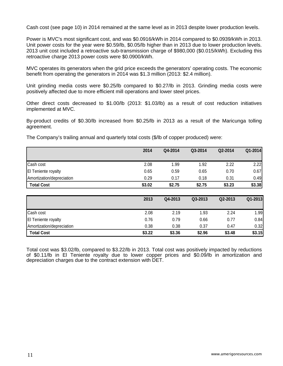Cash cost (see page 10) in 2014 remained at the same level as in 2013 despite lower production levels.

Power is MVC's most significant cost, and was \$0.0916/kWh in 2014 compared to \$0.0939/kWh in 2013. Unit power costs for the year were \$0.59/lb, \$0.05/lb higher than in 2013 due to lower production levels. 2013 unit cost included a retroactive sub-transmission charge of \$980,000 (\$0.015/kWh). Excluding this retroactive charge 2013 power costs were \$0.0900/kWh.

MVC operates its generators when the grid price exceeds the generators' operating costs. The economic benefit from operating the generators in 2014 was \$1.3 million (2013: \$2.4 million).

Unit grinding media costs were \$0.25/lb compared to \$0.27/lb in 2013. Grinding media costs were positively affected due to more efficient mill operations and lower steel prices.

Other direct costs decreased to \$1.00/lb (2013: \$1.03/lb) as a result of cost reduction initiatives implemented at MVC.

By-product credits of \$0.30/lb increased from \$0.25/lb in 2013 as a result of the Maricunga tolling agreement.

The Company's trailing annual and quarterly total costs (\$/lb of copper produced) were:

|                            | 2014   | Q4-2014 | Q3-2014 | Q2-2014 | Q1-2014 |
|----------------------------|--------|---------|---------|---------|---------|
|                            |        |         |         |         |         |
| Cash cost                  | 2.08   | 1.99    | 1.92    | 2.22    | 2.22    |
| <b>El Teniente royalty</b> | 0.65   | 0.59    | 0.65    | 0.70    | 0.67    |
| Amortization/depreciation  | 0.29   | 0.17    | 0.18    | 0.31    | 0.49    |
| <b>Total Cost</b>          | \$3.02 | \$2.75  | \$2.75  | \$3.23  | \$3.38  |
|                            |        |         |         |         |         |
|                            | 2013   | Q4-2013 | Q3-2013 | Q2-2013 | Q1-2013 |
| Cash cost                  | 2.08   | 2.19    | 1.93    | 2.24    | 1.99    |
| <b>El Teniente royalty</b> | 0.76   | 0.79    | 0.66    | 0.77    | 0.84    |
| Amortization/depreciation  | 0.38   | 0.38    | 0.37    | 0.47    | 0.32    |
| <b>Total Cost</b>          | \$3.22 | \$3.36  | \$2.96  | \$3.48  | \$3.15  |

Total cost was \$3.02/lb, compared to \$3.22/lb in 2013. Total cost was positively impacted by reductions of \$0.11/lb in El Teniente royalty due to lower copper prices and \$0.09/lb in amortization and depreciation charges due to the contract extension with DET.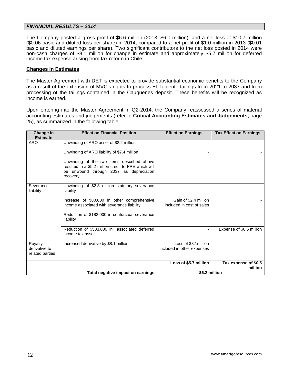#### *FINANCIAL RESULTS – 2014*

The Company posted a gross profit of \$6.6 million (2013: \$6.0 million), and a net loss of \$10.7 million (\$0.06 basic and diluted loss per share) in 2014, compared to a net profit of \$1.0 million in 2013 (\$0.01 basic and diluted earnings per share). Two significant contributors to the net loss posted in 2014 were non-cash charges of \$8.1 million for change in estimate and approximately \$5.7 million for deferred income tax expense arising from tax reform in Chile.

#### **Changes in Estimates**

The Master Agreement with DET is expected to provide substantial economic benefits to the Company as a result of the extension of MVC's rights to process El Teniente tailings from 2021 to 2037 and from processing of the tailings contained in the Cauquenes deposit. These benefits will be recognized as income is earned.

Upon entering into the Master Agreement in Q2-2014, the Company reassessed a series of material accounting estimates and judgements (refer to **Critical Accounting Estimates and Judgements,** page 25), as summarized in the following table:

| Change in<br><b>Estimate</b>                | <b>Effect on Financial Position</b>                                                                                                                        | <b>Effect on Earnings</b>                           | <b>Tax Effect on Earnings</b>   |
|---------------------------------------------|------------------------------------------------------------------------------------------------------------------------------------------------------------|-----------------------------------------------------|---------------------------------|
| <b>ARO</b>                                  | Unwinding of ARO asset of \$2.2 million                                                                                                                    |                                                     |                                 |
|                                             | Unwinding of ARO liability of \$7.4 million                                                                                                                |                                                     |                                 |
|                                             | Unwinding of the two items described above<br>resulted in a \$5.2 million credit to PPE which will<br>be unwound through 2037 as depreciation<br>recovery. |                                                     |                                 |
| Severance<br>liability                      | Unwinding of \$2.3 million statutory severance<br>liability                                                                                                |                                                     |                                 |
|                                             | Increase of \$80,000 in other comprehensive<br>income associated with severance liability                                                                  | Gain of \$2.4 million<br>included in cost of sales  |                                 |
|                                             | Reduction of \$182,000 in contractual severance<br>liability                                                                                               |                                                     |                                 |
|                                             | Reduction of \$503,000 in associated deferred<br>income tax asset                                                                                          |                                                     | Expense of \$0.5 million        |
| Royalty<br>derivative to<br>related parties | Increased derivative by \$8.1 million                                                                                                                      | Loss of \$8.1 million<br>included in other expenses |                                 |
|                                             |                                                                                                                                                            | Loss of \$5.7 million                               | Tax expense of \$0.5<br>million |
|                                             | Total negative impact on earnings                                                                                                                          | \$6.2 million                                       |                                 |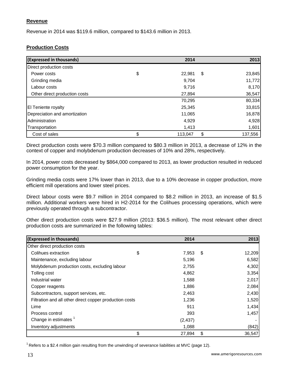# **Revenue**

Revenue in 2014 was \$119.6 million, compared to \$143.6 million in 2013.

# **Production Costs**

| (Expressed in thousands)      | 2014         | 2013          |
|-------------------------------|--------------|---------------|
| Direct production costs       |              |               |
| Power costs                   | \$<br>22,981 | \$<br>23,845  |
| Grinding media                | 9.704        | 11,772        |
| Labour costs                  | 9,716        | 8,170         |
| Other direct production costs | 27,894       | 36,547        |
|                               | 70,295       | 80,334        |
| <b>El Teniente royalty</b>    | 25,345       | 33,815        |
| Depreciation and amortization | 11,065       | 16,878        |
| Administration                | 4,929        | 4,928         |
| Transportation                | 1,413        | 1,601         |
| Cost of sales                 | 113,047      | \$<br>137,556 |

Direct production costs were \$70.3 million compared to \$80.3 million in 2013, a decrease of 12% in the context of copper and molybdenum production decreases of 10% and 28%, respectively.

In 2014, power costs decreased by \$864,000 compared to 2013, as lower production resulted in reduced power consumption for the year.

Grinding media costs were 17% lower than in 2013, due to a 10% decrease in copper production, more efficient mill operations and lower steel prices.

Direct labour costs were \$9.7 million in 2014 compared to \$8.2 million in 2013, an increase of \$1.5 million. Additional workers were hired in H2-2014 for the Colihues processing operations, which were previously operated through a subcontractor.

Other direct production costs were \$27.9 million (2013: \$36.5 million). The most relevant other direct production costs are summarized in the following tables:

| (Expressed in thousands)                                | 2014         | 2013         |
|---------------------------------------------------------|--------------|--------------|
| Other direct production costs                           |              |              |
| Colihues extraction                                     | \$<br>7,953  | \$<br>12,209 |
| Maintenance, excluding labour                           | 5,196        | 6,582        |
| Molybdenum production costs, excluding labour           | 2,755        | 4,302        |
| Tolling cost                                            | 4,862        | 3,354        |
| Industrial water                                        | 1,588        | 2,017        |
| Copper reagents                                         | 1,886        | 2,084        |
| Subcontractors, support services, etc.                  | 2,463        | 2,430        |
| Filtration and all other direct copper production costs | 1,236        | 1,520        |
| Lime                                                    | 911          | 1,434        |
| Process control                                         | 393          | 1,457        |
| Change in estimates <sup>1</sup>                        | (2, 437)     |              |
| Inventory adjustments                                   | 1,088        | (842)        |
|                                                         | \$<br>27,894 | \$<br>36,547 |

<sup>1</sup> Refers to a \$2.4 million gain resulting from the unwinding of severance liabilities at MVC (page 12).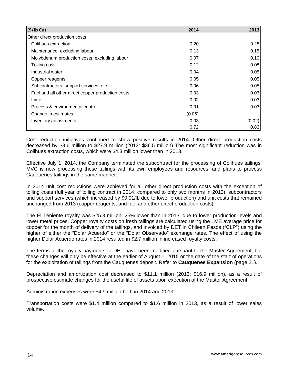| (S/lb Cu)                                         | 2014   | 2013   |
|---------------------------------------------------|--------|--------|
| Other direct production costs                     |        |        |
| Colihues extraction                               | 0.20   | 0.28   |
| Maintenance, excluding labour                     | 0.13   | 0.15   |
| Molybdenum production costs, excluding labour     | 0.07   | 0.10   |
| Tolling cost                                      | 0.12   | 0.08   |
| Industrial water                                  | 0.04   | 0.05   |
| Copper reagents                                   | 0.05   | 0.05   |
| Subcontractors, support services, etc.            | 0.06   | 0.05   |
| Fuel and all other direct copper production costs | 0.03   | 0.03   |
| Lime                                              | 0.02   | 0.03   |
| Process & environmental control                   | 0.01   | 0.03   |
| Change in estimates                               | (0.06) |        |
| Inventory adjustments                             | 0.03   | (0.02) |
|                                                   | 0.72   | 0.83   |

Cost reduction initiatives continued to show positive results in 2014. Other direct production costs decreased by \$8.6 million to \$27.9 million (2013: \$36.5 million) The most significant reduction was in Colihues extraction costs, which were \$4.3 million lower than in 2013.

Effective July 1, 2014, the Company terminated the subcontract for the processing of Colihues tailings. MVC is now processing these tailings with its own employees and resources, and plans to process Cauquenes tailings in the same manner.

In 2014 unit cost reductions were achieved for all other direct production costs with the exception of tolling costs (full year of tolling contract in 2014, compared to only two months in 2013), subcontractors and support services (which increased by \$0.01/lb due to lower production) and unit costs that remained unchanged from 2013 (copper reagents, and fuel and other direct production costs).

The El Teniente royalty was \$25.3 million, 25% lower than in 2013, due to lower production levels and lower metal prices. Copper royalty costs on fresh tailings are calculated using the LME average price for copper for the month of delivery of the tailings, and invoiced by DET in Chilean Pesos ("CLP") using the higher of either the "Dolar Acuerdo" or the "Dolar Observado" exchange rates. The effect of using the higher Dolar Acuerdo rates in 2014 resulted in \$2.7 million in increased royalty costs.

The terms of the royalty payments to DET have been modified pursuant to the Master Agreement, but these changes will only be effective at the earlier of August 1, 2015 or the date of the start of operations for the exploitation of tailings from the Cauquenes deposit. Refer to **Cauquenes Expansion** (page 21).

Depreciation and amortization cost decreased to \$11.1 million (2013: \$16.9 million), as a result of prospective estimate changes for the useful life of assets upon execution of the Master Agreement.

Administration expenses were \$4.9 million both in 2014 and 2013.

Transportation costs were \$1.4 million compared to \$1.6 million in 2013, as a result of lower sales volume.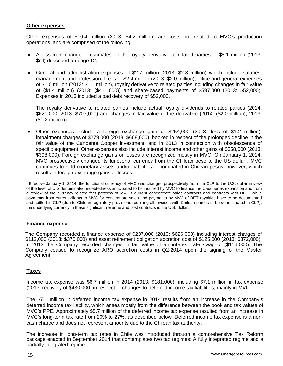#### **Other expenses**

Other expenses of \$10.4 million (2013: \$4.2 million) are costs not related to MVC's production operations, and are comprised of the following:

- A loss from change of estimates on the royalty derivative to related parties of \$8.1 million (2013: \$nil) described on page 12.
- General and administration expenses of \$2.7 million (2013: \$2.8 million) which include salaries, management and professional fees of \$2.4 million (2013: \$2.0 million), office and general expenses of \$1.0 million (2013: \$1.1 million), royalty derivative to related parties including changes in fair value of (\$1.4 million) (2013: (\$411,000)) and share-based payments of \$597,000 (2013: \$52,000). Expenses in 2013 included a bad debt recovery of \$52,000.

The royalty derivative to related parties include actual royalty dividends to related parties (2014: \$621,000; 2013: \$707,000) and changes in fair value of the derivative (2014: (\$2.0 million); 2013: (\$1.2 million)).

 Other expenses include a foreign exchange gain of \$254,000 (2013: loss of \$1.2 million), impairment charges of \$279,000 (2013: \$668,000), booked in respect of the prolonged decline in the fair value of the Candente Copper investment, and in 2013 in connection with obsolescence of specific equipment. Other expenses also include interest income and other gains of \$358,000 (2013: \$398,000). Foreign exchange gains or losses are recognized mostly in MVC. On January 1, 2014, MVC prospectively changed its functional currency from the Chilean peso to the US dollar<sup>1</sup>. MVC continues to hold monetary assets and/or liabilities denominated in Chilean pesos, however, which results in foreign exchange gains or losses.

 $1$  Effective January 1, 2014, the functional currency of MVC was changed prospectively from the CLP to the U.S. dollar in view of the level of U.S denominated indebtedness anticipated to be incurred by MVC to finance the Cauquenes expansion and from a review of the currency-related fact patterns of MVC's current concentrate sales contracts and contracts with DET. While payments from current clients to MVC for concentrate sales and payments by MVC of DET royalties have to be documented and settled in CLP (due to Chilean regulatory provisions requiring all invoices with Chilean parties to be denominated in CLP), the underlying currency in these significant revenue and cost contracts is the U.S. dollar.

#### **Finance expense**

The Company recorded a finance expense of \$237,000 (2013: \$626,000) including interest charges of \$112,000 (2013: \$370,000) and asset retirement obligation accretion cost of \$125,000 (2013: \$372,000). In 2013 the Company recorded changes in fair value of an interest rate swap of (\$116,000). The Company ceased to recognize ARO accretion costs in Q2-2014 upon the signing of the Master Agreement.

#### **Taxes**

Income tax expense was \$6.7 million in 2014 (2013: \$181,000), including \$7.1 million in tax expense (2013: recovery of \$430,000) in respect of changes to deferred income tax liabilities, mainly in MVC.

The \$7.1 million in deferred income tax expense in 2014 results from an increase in the Company's deferred income tax liability, which arises mostly from the difference between the book and tax values of MVC's PPE. Approximately \$5.7 million of the deferred income tax expense resulted from an increase in MVC's long-term tax rate from 20% to 27%, as described below. Deferred income tax expense is a noncash charge and does not represent amounts due to the Chilean tax authority.

The increase in long-term tax rates in Chile was introduced through a comprehensive Tax Reform package enacted in September 2014 that contemplates two tax regimes: A fully integrated regime and a partially integrated regime.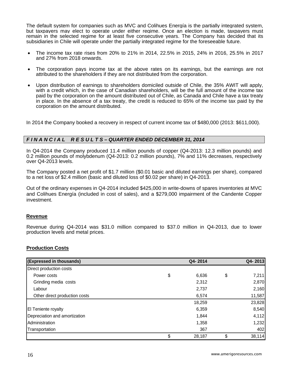The default system for companies such as MVC and Colihues Energía is the partially integrated system, but taxpayers may elect to operate under either regime. Once an election is made, taxpayers must remain in the selected regime for at least five consecutive years. The Company has decided that its subsidiaries in Chile will operate under the partially integrated regime for the foreseeable future.

- The income tax rate rises from 20% to 21% in 2014, 22.5% in 2015, 24% in 2016, 25.5% in 2017 and 27% from 2018 onwards.
- The corporation pays income tax at the above rates on its earnings, but the earnings are not attributed to the shareholders if they are not distributed from the corporation.
- Upon distribution of earnings to shareholders domiciled outside of Chile, the 35% AWIT will apply, with a credit which, in the case of Canadian shareholders, will be the full amount of the income tax paid by the corporation on the amount distributed out of Chile, as Canada and Chile have a tax treaty in place. In the absence of a tax treaty, the credit is reduced to 65% of the income tax paid by the corporation on the amount distributed.

In 2014 the Company booked a recovery in respect of current income tax of \$480,000 (2013: \$611,000).

# *F I N A N C I A L R E S U L T S – QUARTER ENDED DECEMBER 31, 2014*

In Q4-2014 the Company produced 11.4 million pounds of copper (Q4-2013: 12.3 million pounds) and 0.2 million pounds of molybdenum (Q4-2013: 0.2 million pounds), 7% and 11% decreases, respectively over Q4-2013 levels.

The Company posted a net profit of \$1.7 million (\$0.01 basic and diluted earnings per share), compared to a net loss of \$2.4 million (basic and diluted loss of \$0.02 per share) in Q4-2013.

Out of the ordinary expenses in Q4-2014 included \$425,000 in write-downs of spares inventories at MVC and Colihues Energía (included in cost of sales), and a \$279,000 impairment of the Candente Copper investment.

# **Revenue**

Revenue during Q4-2014 was \$31.0 million compared to \$37.0 million in Q4-2013, due to lower production levels and metal prices.

#### **Production Costs**

| (Expressed in thousands)      | Q4-2014      |    |        |
|-------------------------------|--------------|----|--------|
| Direct production costs       |              |    |        |
| Power costs                   | \$<br>6,636  | \$ | 7,211  |
| Grinding media costs          | 2,312        |    | 2,870  |
| Labour                        | 2,737        |    | 2,160  |
| Other direct production costs | 6,574        |    | 11,587 |
|                               | 18,259       |    | 23,828 |
| <b>El Teniente royalty</b>    | 6,359        |    | 8,540  |
| Depreciation and amortization | 1,844        |    | 4,112  |
| Administration                | 1,358        |    | 1,232  |
| Transportation                | 367          |    | 402    |
|                               | \$<br>28,187 | \$ | 38,114 |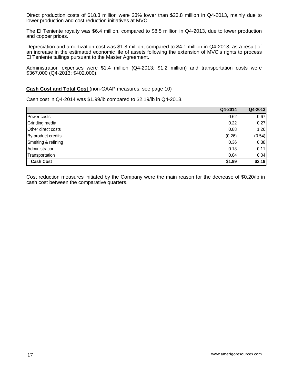Direct production costs of \$18.3 million were 23% lower than \$23.8 million in Q4-2013, mainly due to lower production and cost reduction initiatives at MVC.

The El Teniente royalty was \$6.4 million, compared to \$8.5 million in Q4-2013, due to lower production and copper prices.

Depreciation and amortization cost was \$1.8 million, compared to \$4.1 million in Q4-2013, as a result of an increase in the estimated economic life of assets following the extension of MVC's rights to process El Teniente tailings pursuant to the Master Agreement.

Administration expenses were \$1.4 million (Q4-2013: \$1.2 million) and transportation costs were \$367,000 (Q4-2013: \$402,000).

#### **Cash Cost and Total Cost** (non-GAAP measures, see page 10)

Cash cost in Q4-2014 was \$1.99/lb compared to \$2.19/lb in Q4-2013.

|                     | Q4-2014 | Q4-2013 |
|---------------------|---------|---------|
| Power costs         | 0.62    | 0.67    |
| Grinding media      | 0.22    | 0.27    |
| Other direct costs  | 0.88    | 1.26    |
| By-product credits  | (0.26)  | (0.54)  |
| Smelting & refining | 0.36    | 0.38    |
| Administration      | 0.13    | 0.11    |
| Transportation      | 0.04    | 0.04    |
| <b>Cash Cost</b>    | \$1.99  | \$2.19  |

Cost reduction measures initiated by the Company were the main reason for the decrease of \$0.20/lb in cash cost between the comparative quarters.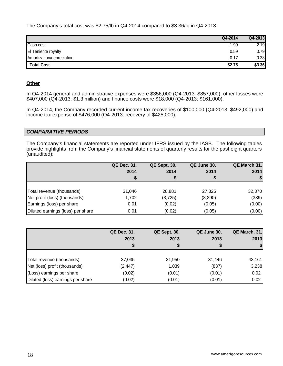The Company's total cost was \$2.75/lb in Q4-2014 compared to \$3.36/lb in Q4-2013:

|                           | Q4-2014 | Q4-2013 |
|---------------------------|---------|---------|
| Cash cost                 | 1.99    | 2.19    |
| El Teniente royalty       | 0.59    | 0.79    |
| Amortization/depreciation | 0.17    | 0.38    |
| <b>Total Cost</b>         | \$2.75  | \$3.36  |

### **Other**

In Q4-2014 general and administrative expenses were \$356,000 (Q4-2013: \$857,000), other losses were \$407,000 (Q4-2013: \$1.3 million) and finance costs were \$18,000 (Q4-2013: \$161,000).

In Q4-2014, the Company recorded current income tax recoveries of \$100,000 (Q4-2013: \$492,000) and income tax expense of \$476,000 (Q4-2013: recovery of \$425,000).

#### *COMPARATIVE PERIODS*

The Company's financial statements are reported under IFRS issued by the IASB. The following tables provide highlights from the Company's financial statements of quarterly results for the past eight quarters (unaudited):

|                                   | <b>QE Dec. 31,</b> | <b>QE Sept. 30,</b> | QE June 30, | QE March 31, |
|-----------------------------------|--------------------|---------------------|-------------|--------------|
|                                   | 2014               | 2014                | 2014        | 2014         |
|                                   | \$                 |                     |             |              |
|                                   |                    |                     |             |              |
| Total revenue (thousands)         | 31,046             | 28,881              | 27,325      | 32,370       |
| Net profit (loss) (thousands)     | 1,702              | (3,725)             | (8,290)     | (389)        |
| Earnings (loss) per share         | 0.01               | (0.02)              | (0.05)      | (0.00)       |
| Diluted earnings (loss) per share | 0.01               | (0.02)              | (0.05)      | (0.00)       |

|                                   | <b>QE Dec. 31,</b><br>2013 | <b>QE Sept. 30,</b><br>2013 | QE June 30,<br>2013 | QE March. 31,<br>2013 |
|-----------------------------------|----------------------------|-----------------------------|---------------------|-----------------------|
|                                   |                            |                             |                     |                       |
| Total revenue (thousands)         | 37,035                     | 31,950                      | 31.446              | 43,161                |
| Net (loss) profit (thousands)     | (2, 447)                   | 1,039                       | (837)               | 3,238                 |
| (Loss) earnings per share         | (0.02)                     | (0.01)                      | (0.01)              | 0.02                  |
| Diluted (loss) earnings per share | (0.02)                     | (0.01)                      | (0.01)              | 0.02                  |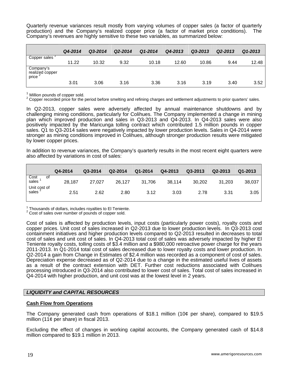Quarterly revenue variances result mostly from varying volumes of copper sales (a factor of quarterly production) and the Company's realized copper price (a factor of market price conditions). The Company's revenues are highly sensitive to these two variables, as summarized below:

|                                       | Q4-2014 | Q3-2014 | Q2-2014 | Q1-2014 | Q4-2013 | Q3-2013 | Q2-2013 | $Q1 - 2013$ |
|---------------------------------------|---------|---------|---------|---------|---------|---------|---------|-------------|
| Copper sales                          |         |         |         |         |         |         |         |             |
|                                       | 11.22   | 10.32   | 9.32    | 10.18   | 12.60   | 10.86   | 9.44    | 12.48       |
| Company's<br>realized copper<br>price |         |         |         |         |         |         |         |             |
|                                       | 3.01    | 3.06    | 3.16    | 3.36    | 3.16    | 3.19    | 3.40    | 3.52        |

 $<sup>1</sup>$  Million pounds of copper sold.</sup>

<sup>2</sup> Copper recorded price for the period before smelting and refining charges and settlement adjustments to prior quarters' sales.

In Q2-2013, copper sales were adversely affected by annual maintenance shutdowns and by challenging mining conditions, particularly for Colihues. The Company implemented a change in mining plan which improved production and sales in Q3-2013 and Q4-2013. In Q4-2013 sales were also positively impacted by the Maricunga tolling contract which contributed 1.5 million pounds in copper sales. Q1 to Q3-2014 sales were negatively impacted by lower production levels. Sales in Q4-2014 were stronger as mining conditions improved in Colihues, although stronger production results were mitigated by lower copper prices.

In addition to revenue variances, the Company's quarterly results in the most recent eight quarters were also affected by variations in cost of sales:

|                       | Q4-2014 | Q3-2014 | Q2-2014 | Q1-2014 | Q4-2013 | Q3-2013 | Q2-2013 | Q1-2013 |
|-----------------------|---------|---------|---------|---------|---------|---------|---------|---------|
| Cost<br>sales<br>0t   | 28,187  | 27,027  | 26,127  | 31,706  | 38,114  | 30.202  | 31.203  | 38,037  |
| Unit cost of<br>sales | 2.51    | 2.62    | 2.80    | 3.12    | 3.03    | 2.78    | 3.31    | 3.05    |

 $\frac{1}{6}$  Thousands of dollars, includes royalties to El Teniente.

 $2^2$  Cost of sales over number of pounds of copper sold.

Cost of sales is affected by production levels, input costs (particularly power costs), royalty costs and copper prices. Unit cost of sales increased in Q2-2013 due to lower production levels. In Q3-2013 cost containment initiatives and higher production levels compared to Q2-2013 resulted in decreases to total cost of sales and unit cost of sales. In Q4-2013 total cost of sales was adversely impacted by higher El Teniente royalty costs, tolling costs of \$3.4 million and a \$980,000 retroactive power charge for the years 2011-2013. In Q1-2014 total cost of sales decreased due to lower royalty costs and lower production. In Q2-2014 a gain from Change in Estimates of \$2.4 million was recorded as a component of cost of sales. Depreciation expense decreased as of Q2-2014 due to a change in the estimated useful lives of assets as a result of the contract extension with DET. Further cost reductions associated with Colihues processing introduced in Q3-2014 also contributed to lower cost of sales. Total cost of sales increased in Q4-2014 with higher production, and unit cost was at the lowest level in 2 years.

# *LIQUIDITY and CAPITAL RESOURCES*

#### **Cash Flow from Operations**

The Company generated cash from operations of \$18.1 million (10¢ per share), compared to \$19.5 million (11¢ per share) in fiscal 2013.

Excluding the effect of changes in working capital accounts, the Company generated cash of \$14.8 million compared to \$19.1 million in 2013.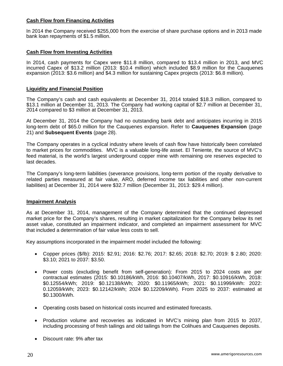# **Cash Flow from Financing Activities**

In 2014 the Company received \$255,000 from the exercise of share purchase options and in 2013 made bank loan repayments of \$1.5 million.

### **Cash Flow from Investing Activities**

In 2014, cash payments for Capex were \$11.8 million, compared to \$13.4 million in 2013, and MVC incurred Capex of \$13.2 million (2013: \$10.4 million) which included \$8.9 million for the Cauquenes expansion (2013: \$3.6 million) and \$4.3 million for sustaining Capex projects (2013: \$6.8 million).

#### **Liquidity and Financial Position**

The Company's cash and cash equivalents at December 31, 2014 totaled \$18.3 million, compared to \$13.1 million at December 31, 2013. The Company had working capital of \$2.7 million at December 31, 2014 compared to \$3 million at December 31, 2013.

At December 31, 2014 the Company had no outstanding bank debt and anticipates incurring in 2015 long-term debt of \$65.0 million for the Cauquenes expansion. Refer to **Cauquenes Expansion** (page 21) and **Subsequent Events** (page 28).

The Company operates in a cyclical industry where levels of cash flow have historically been correlated to market prices for commodities. MVC is a valuable long-life asset. El Teniente, the source of MVC's feed material, is the world's largest underground copper mine with remaining ore reserves expected to last decades.

The Company's long-term liabilities (severance provisions, long-term portion of the royalty derivative to related parties measured at fair value, ARO, deferred income tax liabilities and other non-current liabilities) at December 31, 2014 were \$32.7 million (December 31, 2013: \$29.4 million).

#### **Impairment Analysis**

As at December 31, 2014, management of the Company determined that the continued depressed market price for the Company's shares, resulting in market capitalization for the Company below its net asset value, constituted an impairment indicator, and completed an impairment assessment for MVC that included a determination of fair value less costs to sell.

Key assumptions incorporated in the impairment model included the following:

- Copper prices (\$/lb): 2015: \$2.91; 2016: \$2.76; 2017: \$2.65; 2018: \$2.70; 2019: \$ 2.80; 2020: \$3.10; 2021 to 2037: \$3.50.
- Power costs (excluding benefit from self-generation): From 2015 to 2024 costs are per contractual estimates (2015: \$0.10186/kWh, 2016: \$0.10407/kWh, 2017: \$0.10916/kWh, 2018: \$0.12554/kWh; 2019: \$0.12138/kWh; 2020: \$0.11965/kWh; 2021: \$0.11999/kWh: 2022: 0.12059/kWh; 2023: \$0.12142/kWh; 2024 \$0.12209/kWh). From 2025 to 2037: estimated at \$0.1300/kWh.
- Operating costs based on historical costs incurred and estimated forecasts.
- Production volume and recoveries as indicated in MVC's mining plan from 2015 to 2037, including processing of fresh tailings and old tailings from the Colihues and Cauquenes deposits.
- Discount rate: 9% after tax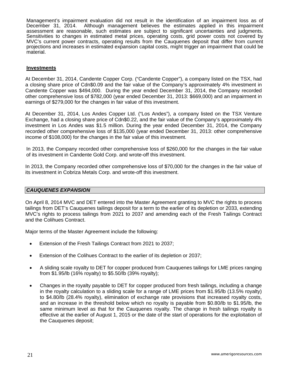Management's impairment evaluation did not result in the identification of an impairment loss as of December 31, 2014. Although management believes the estimates applied in this impairment assessment are reasonable, such estimates are subject to significant uncertainties and judgments. Sensitivities to changes in estimated metal prices, operating costs, grid power costs not covered by MVC's current power contracts, operating results from the Cauquenes deposit that differ from current projections and increases in estimated expansion capital costs, might trigger an impairment that could be material.

### **Investments**

At December 31, 2014, Candente Copper Corp. ("Candente Copper"), a company listed on the TSX, had a closing share price of Cdn\$0.09 and the fair value of the Company's approximately 4% investment in Candente Copper was \$494,000. During the year ended December 31, 2014, the Company recorded other comprehensive loss of \$782,000 (year ended December 31, 2013: \$669,000) and an impairment in earnings of \$279,000 for the changes in fair value of this investment.

At December 31, 2014, Los Andes Copper Ltd. ("Los Andes"), a company listed on the TSX Venture Exchange, had a closing share price of Cdn\$0.22, and the fair value of the Company's approximately 4% investment in Los Andes was \$1.5 million. During the year ended December 31, 2014, the Company recorded other comprehensive loss of \$135,000 (year ended December 31, 2013: other comprehensive income of \$108,000) for the changes in the fair value of this investment.

In 2013, the Company recorded other comprehensive loss of \$260,000 for the changes in the fair value of its investment in Candente Gold Corp. and wrote-off this investment.

In 2013, the Company recorded other comprehensive loss of \$70,000 for the changes in the fair value of its investment in Cobriza Metals Corp. and wrote-off this investment.

# *CAUQUENES EXPANSION*

On April 8, 2014 MVC and DET entered into the Master Agreement granting to MVC the rights to process tailings from DET's Cauquenes tailings deposit for a term to the earlier of its depletion or 2033, extending MVC's rights to process tailings from 2021 to 2037 and amending each of the Fresh Tailings Contract and the Colihues Contract.

Major terms of the Master Agreement include the following:

- Extension of the Fresh Tailings Contract from 2021 to 2037;
- Extension of the Colihues Contract to the earlier of its depletion or 2037;
- A sliding scale royalty to DET for copper produced from Cauquenes tailings for LME prices ranging from \$1.95/lb (16% royalty) to \$5.50/lb (39% royalty);
- Changes in the royalty payable to DET for copper produced from fresh tailings, including a change in the royalty calculation to a sliding scale for a range of LME prices from \$1.95/lb (13.5% royalty) to \$4.80/lb (28.4% royalty), elimination of exchange rate provisions that increased royalty costs, and an increase in the threshold below which no royalty is payable from \$0.80/lb to \$1.95/lb, the same minimum level as that for the Cauquenes royalty. The change in fresh tailings royalty is effective at the earlier of August 1, 2015 or the date of the start of operations for the exploitation of the Cauquenes deposit;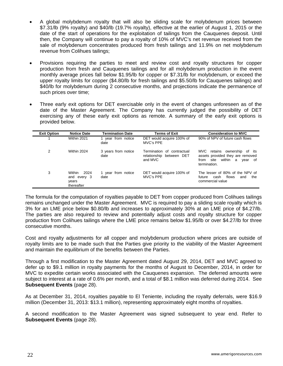- A global molybdenum royalty that will also be sliding scale for molybdenum prices between \$7.31/lb (9% royalty) and \$40/lb (19.7% royalty), effective at the earlier of August 1, 2015 or the date of the start of operations for the exploitation of tailings from the Cauquenes deposit. Until then, the Company will continue to pay a royalty of 10% of MVC's net revenue received from the sale of molybdenum concentrates produced from fresh tailings and 11.9% on net molybdenum revenue from Colihues tailings;
- Provisions requiring the parties to meet and review cost and royalty structures for copper production from fresh and Cauquenes tailings and for all molybdenum production in the event monthly average prices fall below \$1.95/lb for copper or \$7.31/lb for molybdenum, or exceed the upper royalty limits for copper (\$4.80/lb for fresh tailings and \$5.50/lb for Cauquenes tailings) and \$40/lb for molybdenum during 2 consecutive months, and projections indicate the permanence of such prices over time;
- Three early exit options for DET exercisable only in the event of changes unforeseen as of the date of the Master Agreement. The Company has currently judged the possibility of DET exercising any of these early exit options as remote. A summary of the early exit options is provided below.

| <b>Exit Option</b> | <b>Notice Date</b>                                   | <b>Termination Date</b>     | <b>Terms of Exit</b>                                                 | <b>Consideration to MVC</b>                                                                                                     |
|--------------------|------------------------------------------------------|-----------------------------|----------------------------------------------------------------------|---------------------------------------------------------------------------------------------------------------------------------|
|                    | Within 2021                                          | year from notice<br>date    | DET would acquire 100% of<br>MVC's PPE                               | 90% of NPV of future cash flows                                                                                                 |
| 2                  | Within 2024                                          | 3 years from notice<br>date | Termination of contractual<br>relationship<br>between DET<br>and MVC | retains ownership of its<br>MVC .<br>assets provided they are removed<br>within<br>site<br>a<br>from<br>year of<br>termination. |
| 3                  | 2024<br>Within<br>and every 3<br>years<br>thereafter | 1 year from notice<br>date  | DET would acquire 100% of<br>MVC's PPE                               | The lesser of 80% of the NPV of<br>flows<br>cash<br>future<br>the<br>and<br>commercial value                                    |

The formula for the computation of royalties payable to DET from copper produced from Colihues tailings remains unchanged under the Master Agreement. MVC is required to pay a sliding scale royalty which is 3% for an LME price below \$0.80/lb and increases to approximately 30% at an LME price of \$4.27/lb. The parties are also required to review and potentially adjust costs and royalty structure for copper production from Colihues tailings where the LME price remains below \$1.95/lb or over \$4.27/lb for three consecutive months.

Cost and royalty adjustments for all copper and molybdenum production where prices are outside of royalty limits are to be made such that the Parties give priority to the viability of the Master Agreement and maintain the equilibrium of the benefits between the Parties.

Through a first modification to the Master Agreement dated August 29, 2014, DET and MVC agreed to defer up to \$9.1 million in royalty payments for the months of August to December, 2014, in order for MVC to expedite certain works associated with the Cauquenes expansion. The deferred amounts were subject to interest at a rate of 0.6% per month, and a total of \$8.1 million was deferred during 2014. See **Subsequent Events** (page 28).

As at December 31, 2014, royalties payable to El Teniente, including the royalty deferrals, were \$16.9 million (December 31, 2013: \$13.1 million), representing approximately eight months of royalties.

A second modification to the Master Agreement was signed subsequent to year end. Refer to **Subsequent Events** (page 28).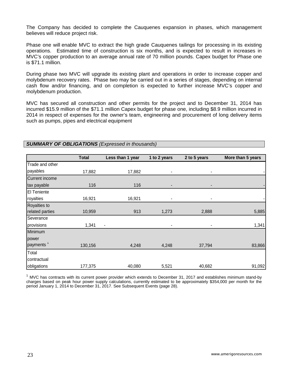The Company has decided to complete the Cauquenes expansion in phases, which management believes will reduce project risk.

Phase one will enable MVC to extract the high grade Cauquenes tailings for processing in its existing operations. Estimated time of construction is six months, and is expected to result in increases in MVC's copper production to an average annual rate of 70 million pounds. Capex budget for Phase one is \$71.1 million.

During phase two MVC will upgrade its existing plant and operations in order to increase copper and molybdenum recovery rates. Phase two may be carried out in a series of stages, depending on internal cash flow and/or financing, and on completion is expected to further increase MVC's copper and molybdenum production.

MVC has secured all construction and other permits for the project and to December 31, 2014 has incurred \$15.9 million of the \$71.1 million Capex budget for phase one, including \$8.9 million incurred in 2014 in respect of expenses for the owner's team, engineering and procurement of long delivery items such as pumps, pipes and electrical equipment

|                       | <b>Total</b> | Less than 1 year | 1 to 2 years | 2 to 5 years | More than 5 years |
|-----------------------|--------------|------------------|--------------|--------------|-------------------|
| Trade and other       |              |                  |              |              |                   |
| payables              | 17,882       | 17,882           | ۰            | ۰            |                   |
| <b>Current</b> income |              |                  |              |              |                   |
| tax payable           | 116          | 116              |              |              |                   |
| El Teniente           |              |                  |              |              |                   |
| royalties             | 16,921       | 16,921           |              |              |                   |
| <b>Royalties to</b>   |              |                  |              |              |                   |
| related parties       | 10,959       | 913              | 1,273        | 2,888        | 5,885             |
| Severance             |              |                  |              |              |                   |
| provisions            | 1,341        | ۰                |              |              | 1,341             |
| Minimum               |              |                  |              |              |                   |
| power                 |              |                  |              |              |                   |
| payments <sup>1</sup> | 130,156      | 4,248            | 4,248        | 37,794       | 83,866            |
| Total                 |              |                  |              |              |                   |
| contractual           |              |                  |              |              |                   |
| obligations           | 177,375      | 40,080           | 5,521        | 40,682       | 91,092            |

*SUMMARY OF OBLIGATIONS (Expressed in thousands)*

 $1$  MVC has contracts with its current power provider which extends to December 31, 2017 and establishes minimum stand-by charges based on peak hour power supply calculations, currently estimated to be approximately \$354,000 per month for the period January 1, 2014 to December 31, 2017. See Subsequent Events (page 28).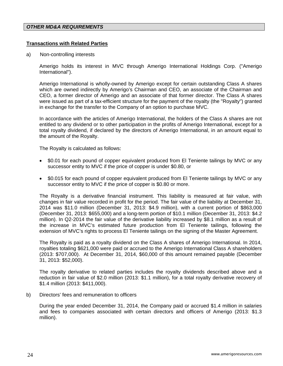#### *OTHER MD&A REQUIREMENTS*

#### **Transactions with Related Parties**

a) Non-controlling interests

Amerigo holds its interest in MVC through Amerigo International Holdings Corp. ("Amerigo International").

Amerigo International is wholly-owned by Amerigo except for certain outstanding Class A shares which are owned indirectly by Amerigo's Chairman and CEO, an associate of the Chairman and CEO, a former director of Amerigo and an associate of that former director. The Class A shares were issued as part of a tax-efficient structure for the payment of the royalty (the "Royalty") granted in exchange for the transfer to the Company of an option to purchase MVC.

In accordance with the articles of Amerigo International, the holders of the Class A shares are not entitled to any dividend or to other participation in the profits of Amerigo International, except for a total royalty dividend, if declared by the directors of Amerigo International, in an amount equal to the amount of the Royalty.

The Royalty is calculated as follows:

- \$0.01 for each pound of copper equivalent produced from El Teniente tailings by MVC or any successor entity to MVC if the price of copper is under \$0.80, or
- \$0.015 for each pound of copper equivalent produced from El Teniente tailings by MVC or any successor entity to MVC if the price of copper is \$0.80 or more.

The Royalty is a derivative financial instrument. This liability is measured at fair value, with changes in fair value recorded in profit for the period. The fair value of the liability at December 31, 2014 was \$11.0 million (December 31, 2013: \$4.9 million), with a current portion of \$863,000 (December 31, 2013: \$655,000) and a long-term portion of \$10.1 million (December 31, 2013: \$4.2 million). In Q2-2014 the fair value of the derivative liability increased by \$8.1 million as a result of the increase in MVC's estimated future production from El Teniente tailings, following the extension of MVC's rights to process El Teniente tailings on the signing of the Master Agreement.

The Royalty is paid as a royalty dividend on the Class A shares of Amerigo International. In 2014, royalties totaling \$621,000 were paid or accrued to the Amerigo International Class A shareholders (2013: \$707,000). At December 31, 2014, \$60,000 of this amount remained payable (December 31, 2013: \$52,000).

The royalty derivative to related parties includes the royalty dividends described above and a reduction in fair value of \$2.0 million (2013: \$1.1 million), for a total royalty derivative recovery of \$1.4 million (2013: \$411,000).

b) Directors' fees and remuneration to officers

During the year ended December 31, 2014, the Company paid or accrued \$1.4 million in salaries and fees to companies associated with certain directors and officers of Amerigo (2013: \$1.3 million).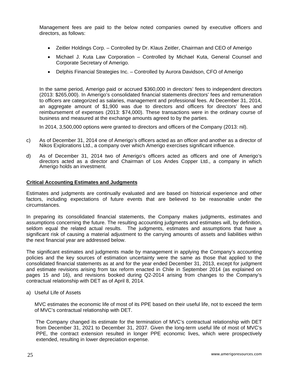Management fees are paid to the below noted companies owned by executive officers and directors, as follows:

- Zeitler Holdings Corp. Controlled by Dr. Klaus Zeitler, Chairman and CEO of Amerigo
- Michael J. Kuta Law Corporation Controlled by Michael Kuta, General Counsel and Corporate Secretary of Amerigo.
- Delphis Financial Strategies Inc. Controlled by Aurora Davidson, CFO of Amerigo

In the same period, Amerigo paid or accrued \$360,000 in directors' fees to independent directors (2013: \$265,000). In Amerigo's consolidated financial statements directors' fees and remuneration to officers are categorized as salaries, management and professional fees. At December 31, 2014, an aggregate amount of \$1,900 was due to directors and officers for directors' fees and reimbursement of expenses (2013: \$74,000). These transactions were in the ordinary course of business and measured at the exchange amounts agreed to by the parties.

In 2014, 3,500,000 options were granted to directors and officers of the Company (2013: nil).

- c) As of December 31, 2014 one of Amerigo's officers acted as an officer and another as a director of Nikos Explorations Ltd., a company over which Amerigo exercises significant influence.
- d) As of December 31, 2014 two of Amerigo's officers acted as officers and one of Amerigo's directors acted as a director and Chairman of Los Andes Copper Ltd., a company in which Amerigo holds an investment.

#### **Critical Accounting Estimates and Judgments**

Estimates and judgments are continually evaluated and are based on historical experience and other factors, including expectations of future events that are believed to be reasonable under the circumstances.

In preparing its consolidated financial statements, the Company makes judgments, estimates and assumptions concerning the future. The resulting accounting judgments and estimates will, by definition, seldom equal the related actual results. The judgments, estimates and assumptions that have a significant risk of causing a material adjustment to the carrying amounts of assets and liabilities within the next financial year are addressed below.

The significant estimates and judgments made by management in applying the Company's accounting policies and the key sources of estimation uncertainty were the same as those that applied to the consolidated financial statements as at and for the year ended December 31, 2013, except for judgment and estimate revisions arising from tax reform enacted in Chile in September 2014 (as explained on pages 15 and 16), and revisions booked during Q2-2014 arising from changes to the Company's contractual relationship with DET as of April 8, 2014.

a) Useful Life of Assets

MVC estimates the economic life of most of its PPE based on their useful life, not to exceed the term of MVC's contractual relationship with DET.

The Company changed its estimate for the termination of MVC's contractual relationship with DET from December 31, 2021 to December 31, 2037. Given the long-term useful life of most of MVC's PPE, the contract extension resulted in longer PPE economic lives, which were prospectively extended, resulting in lower depreciation expense.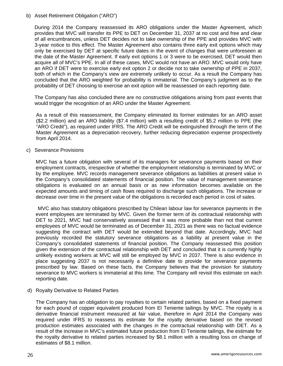# b) Asset Retirement Obligation ("ARO")

During 2014 the Company reassessed its ARO obligations under the Master Agreement, which provides that MVC will transfer its PPE to DET on December 31, 2037 at no cost and free and clear of all encumbrances, unless DET decides not to take ownership of the PPE and provides MVC with 3-year notice to this effect. The Master Agreement also contains three early exit options which may only be exercised by DET at specific future dates in the event of changes that were unforeseen at the date of the Master Agreement. If early exit options 1 or 3 were to be exercised, DET would then acquire all of MVC's PPE. In all of these cases, MVC would not have an ARO. MVC would only have an ARO if DET were to exercise early exit option 2 or decide not to take ownership of PPE in 2037, both of which in the Company's view are extremely unlikely to occur. As a result the Company has concluded that the ARO weighted for probability is immaterial. The Company's judgment as to the probability of DET choosing to exercise an exit option will be reassessed on each reporting date.

The Company has also concluded there are no constructive obligations arising from past events that would trigger the recognition of an ARO under the Master Agreement.

As a result of this reassessment, the Company eliminated its former estimates for an ARO asset (\$2.2 million) and an ARO liability (\$7.4 million) with a resulting credit of \$5.2 million to PPE (the "ARO Credit"), as required under IFRS. The ARO Credit will be extinguished through the term of the Master Agreement as a depreciation recovery, further reducing depreciation expense prospectively from April 2014.

# c) Severance Provisions

MVC has a future obligation with several of its managers for severance payments based on their employment contracts, irrespective of whether the employment relationship is terminated by MVC or by the employee. MVC records management severance obligations as liabilities at present value in the Company's consolidated statements of financial position. The value of management severance obligations is evaluated on an annual basis or as new information becomes available on the expected amounts and timing of cash flows required to discharge such obligations. The increase or decrease over time in the present value of the obligations is recorded each period in cost of sales.

MVC also has statutory obligations prescribed by Chilean labour law for severance payments in the event employees are terminated by MVC. Given the former term of its contractual relationship with DET to 2021, MVC had conservatively assessed that it was more probable than not that current employees of MVC would be terminated as of December 31, 2021 as there was no factual evidence suggesting the contract with DET would be extended beyond that date. Accordingly, MVC had previously recorded the statutory severance obligations as a liability at present value in the Company's consolidated statements of financial position. The Company reassessed this position given the extension of the contractual relationship with DET and concluded that it is currently highly unlikely existing workers at MVC will still be employed by MVC in 2037. There is also evidence in place suggesting 2037 is not necessarily a definitive date to provide for severance payments prescribed by law. Based on these facts, the Company believes that the provision for statutory severance to MVC workers is immaterial at this time. The Company will revisit this estimate on each reporting date.

#### d) Royalty Derivative to Related Parties

The Company has an obligation to pay royalties to certain related parties, based on a fixed payment for each pound of copper equivalent produced from El Teniente tailings by MVC. The royalty is a derivative financial instrument measured at fair value, therefore in April 2014 the Company was required under IFRS to reassess its estimate for the royalty derivative based on the revised production estimates associated with the changes in the contractual relationship with DET. As a result of the increase in MVC's estimated future production from El Teniente tailings, the estimate for the royalty derivative to related parties increased by \$8.1 million with a resulting loss on change of estimates of \$8.1 million.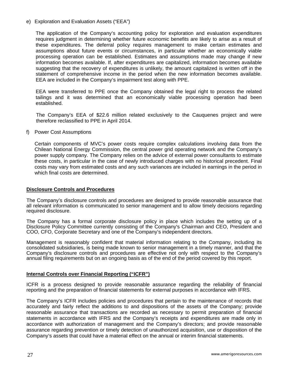# e) Exploration and Evaluation Assets ("EEA")

The application of the Company's accounting policy for exploration and evaluation expenditures requires judgment in determining whether future economic benefits are likely to arise as a result of these expenditures. The deferral policy requires management to make certain estimates and assumptions about future events or circumstances, in particular whether an economically viable processing operation can be established. Estimates and assumptions made may change if new information becomes available. If, after expenditures are capitalized, information becomes available suggesting that the recovery of expenditures is unlikely, the amount capitalized is written off in the statement of comprehensive income in the period when the new information becomes available. EEA are included in the Company's impairment test along with PPE.

EEA were transferred to PPE once the Company obtained the legal right to process the related tailings and it was determined that an economically viable processing operation had been established.

The Company's EEA of \$22.6 million related exclusively to the Cauquenes project and were therefore reclassified to PPE in April 2014.

f) Power Cost Assumptions

Certain components of MVC's power costs require complex calculations involving data from the Chilean National Energy Commission, the central power grid operating network and the Company's power supply company. The Company relies on the advice of external power consultants to estimate these costs, in particular in the case of newly introduced charges with no historical precedent. Final costs may vary from estimated costs and any such variances are included in earnings in the period in which final costs are determined.

# **Disclosure Controls and Procedures**

The Company's disclosure controls and procedures are designed to provide reasonable assurance that all relevant information is communicated to senior management and to allow timely decisions regarding required disclosure.

The Company has a formal corporate disclosure policy in place which includes the setting up of a Disclosure Policy Committee currently consisting of the Company's Chairman and CEO, President and COO, CFO, Corporate Secretary and one of the Company's independent directors.

Management is reasonably confident that material information relating to the Company, including its consolidated subsidiaries, is being made known to senior management in a timely manner, and that the Company's disclosure controls and procedures are effective not only with respect to the Company's annual filing requirements but on an ongoing basis as of the end of the period covered by this report.

# **Internal Controls over Financial Reporting ("ICFR")**

ICFR is a process designed to provide reasonable assurance regarding the reliability of financial reporting and the preparation of financial statements for external purposes in accordance with IFRS.

The Company's ICFR includes policies and procedures that pertain to the maintenance of records that accurately and fairly reflect the additions to and dispositions of the assets of the Company; provide reasonable assurance that transactions are recorded as necessary to permit preparation of financial statements in accordance with IFRS and the Company's receipts and expenditures are made only in accordance with authorization of management and the Company's directors; and provide reasonable assurance regarding prevention or timely detection of unauthorized acquisition, use or disposition of the Company's assets that could have a material effect on the annual or interim financial statements.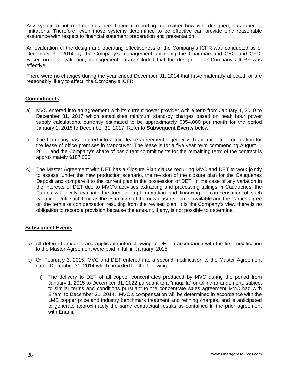Any system of internal controls over financial reporting, no matter how well designed, has inherent limitations. Therefore, even those systems determined to be effective can provide only reasonable assurance with respect to financial statement preparation and presentation.

An evaluation of the design and operating effectiveness of the Company's ICFR was conducted as of December 31, 2014 by the Company's management, including the Chairman and CEO and CFO. Based on this evaluation, management has concluded that the design of the Company's ICRF was effective.

There were no changes during the year ended December 31, 2014 that have materially affected, or are reasonably likely to affect, the Company's ICFR.

# **Commitments**

- a) MVC entered into an agreement with its current power provider with a term from January 1, 2010 to December 31, 2017 which establishes minimum stand-by charges based on peak hour power supply calculations, currently estimated to be approximately \$354,000 per month for the period January 1, 2015 to December 31, 2017. Refer to **Subsequent Events** below.
- b) The Company has entered into a joint lease agreement together with an unrelated corporation for the lease of office premises in Vancouver. The lease is for a five year term commencing August 1, 2011, and the Company's share of basic rent commitments for the remaining term of the contract is approximately \$187,000.
- c) The Master Agreement with DET has a Closure Plan clause requiring MVC and DET to work jointly to assess, under the new production scenario, the revision of the closure plan for the Cauquenes Deposit and compare it to the current plan in the possession of DET. In the case of any variation in the interests of DET due to MVC's activities extracting and processing tailings in Cauquenes, the Parties will jointly evaluate the form of implementation and financing or compensation of such variation. Until such time as the estimation of the new closure plan is available and the Parties agree on the terms of compensation resulting from the revised plan, it is the Company's view there is no obligation to record a provision because the amount, if any, is not possible to determine.

# **Subsequent Events**

- a) All deferred amounts and applicable interest owing to DET in accordance with the first modification to the Master Agreement were paid in full in January, 2015.
- b) On February 3, 2015, MVC and DET entered into a second modification to the Master Agreement dated December 31, 2014 which provided for the following:
	- i) The delivery to DET of all copper concentrates produced by MVC during the period from January 1, 2015 to December 31, 2022 pursuant to a "maquila" or tolling arrangement, subject to similar terms and conditions pursuant to the concentrate sales agreement MVC had with Enami to December 31, 2014. MVC's compensation will be determined in accordance with the LME copper price and industry benchmark treatment and refining charges, and is anticipated to generate approximately the same contractual results as contained in the prior agreement with Enami.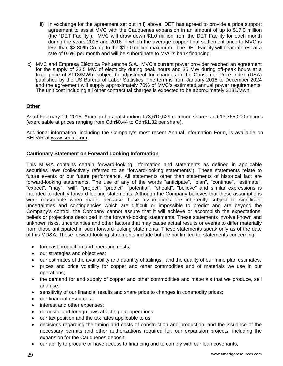- ii) In exchange for the agreement set out in i) above, DET has agreed to provide a price support agreement to assist MVC with the Cauquenes expansion in an amount of up to \$17.0 million (the "DET Facility"). MVC will draw down \$1.0 million from the DET Facility for each month during the years 2015 and 2016 in which the average copper final settlement price to MVC is less than \$2.80/lb Cu, up to the \$17.0 million maximum. The DET Facility will bear interest at a rate of 0.6% per month and will be subordinate to MVC's bank financing.
- c) MVC and Empresa Eléctrica Pehuenche S.A., MVC's current power provider reached an agreement for the supply of 33.5 MW of electricity during peak hours and 35 MW during off-peak hours at a fixed price of \$118/MWh, subject to adjustment for changes in the Consumer Price Index (USA) published by the US Bureau of Labor Statistics. The term is from January 2018 to December 2024 and the agreement will supply approximately 70% of MVC's estimated annual power requirements. The unit cost including all other contractual charges is expected to be approximately \$131/Mwh.

# **Other**

As of February 19, 2015, Amerigo has outstanding 173,610,629 common shares and 13,765,000 options (exercisable at prices ranging from Cdn\$0.44 to Cdn\$1.32 per share).

Additional information, including the Company's most recent Annual Information Form, is available on SEDAR at www.sedar.com.

# **Cautionary Statement on Forward Looking Information**

This MD&A contains certain forward-looking information and statements as defined in applicable securities laws (collectively referred to as "forward-looking statements"). These statements relate to future events or our future performance. All statements other than statements of historical fact are forward-looking statements. The use of any of the words "anticipate", "plan", "continue", "estimate", "expect", "may", "will", "project", "predict", "potential", "should", "believe" and similar expressions is intended to identify forward-looking statements. Although the Company believes that these assumptions were reasonable when made, because these assumptions are inherently subject to significant uncertainties and contingencies which are difficult or impossible to predict and are beyond the Company's control, the Company cannot assure that it will achieve or accomplish the expectations, beliefs or projections described in the forward-looking statements. These statements involve known and unknown risks, uncertainties and other factors that may cause actual results or events to differ materially from those anticipated in such forward-looking statements. These statements speak only as of the date of this MD&A. These forward-looking statements include but are not limited to, statements concerning:

- forecast production and operating costs;
- our strategies and objectives;
- our estimates of the availability and quantity of tailings, and the quality of our mine plan estimates;
- prices and price volatility for copper and other commodities and of materials we use in our operations;
- the demand for and supply of copper and other commodities and materials that we produce, sell and use;
- sensitivity of our financial results and share price to changes in commodity prices;
- our financial resources;
- interest and other expenses;
- domestic and foreign laws affecting our operations;
- our tax position and the tax rates applicable to us;
- decisions regarding the timing and costs of construction and production, and the issuance of the necessary permits and other authorizations required for, our expansion projects, including the expansion for the Cauquenes deposit;
- our ability to procure or have access to financing and to comply with our loan covenants;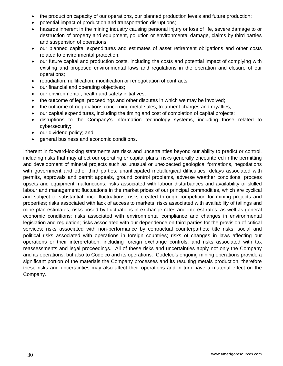- the production capacity of our operations, our planned production levels and future production;
- potential impact of production and transportation disruptions;
- hazards inherent in the mining industry causing personal injury or loss of life, severe damage to or destruction of property and equipment, pollution or environmental damage, claims by third parties and suspension of operations
- our planned capital expenditures and estimates of asset retirement obligations and other costs related to environmental protection;
- our future capital and production costs, including the costs and potential impact of complying with existing and proposed environmental laws and regulations in the operation and closure of our operations;
- repudiation, nullification, modification or renegotiation of contracts;
- our financial and operating objectives;
- our environmental, health and safety initiatives;
- the outcome of legal proceedings and other disputes in which we may be involved;
- the outcome of negotiations concerning metal sales, treatment charges and royalties;
- our capital expenditures, including the timing and cost of completion of capital projects;
- disruptions to the Company's information technology systems, including those related to cybersecurity;
- our dividend policy; and
- general business and economic conditions.

Inherent in forward-looking statements are risks and uncertainties beyond our ability to predict or control, including risks that may affect our operating or capital plans; risks generally encountered in the permitting and development of mineral projects such as unusual or unexpected geological formations, negotiations with government and other third parties, unanticipated metallurgical difficulties, delays associated with permits, approvals and permit appeals, ground control problems, adverse weather conditions, process upsets and equipment malfunctions; risks associated with labour disturbances and availability of skilled labour and management; fluctuations in the market prices of our principal commodities, which are cyclical and subject to substantial price fluctuations; risks created through competition for mining projects and properties; risks associated with lack of access to markets; risks associated with availability of tailings and mine plan estimates; risks posed by fluctuations in exchange rates and interest rates, as well as general economic conditions; risks associated with environmental compliance and changes in environmental legislation and regulation; risks associated with our dependence on third parties for the provision of critical services; risks associated with non-performance by contractual counterparties; title risks; social and political risks associated with operations in foreign countries; risks of changes in laws affecting our operations or their interpretation, including foreign exchange controls; and risks associated with tax reassessments and legal proceedings. All of these risks and uncertainties apply not only the Company and its operations, but also to Codelco and its operations. Codelco's ongoing mining operations provide a significant portion of the materials the Company processes and its resulting metals production, therefore these risks and uncertainties may also affect their operations and in turn have a material effect on the Company.